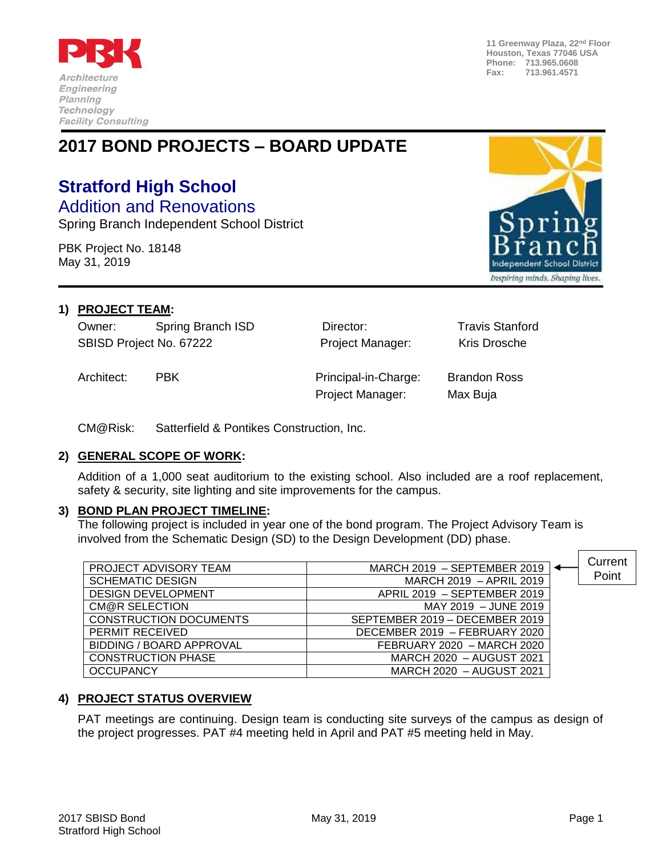

**11 Greenway Plaza, 22nd Floor Houston, Texas 77046 USA Phone: 713.965.0608 Fax: 713.961.4571**

## **2017 BOND PROJECTS – BOARD UPDATE**

# **Stratford High School**

Addition and Renovations Spring Branch Independent School District

PBK Project No. 18148 May 31, 2019



#### **1) PROJECT TEAM:**

Owner: Spring Branch ISD Director: Travis Stanford SBISD Project No. 67222 **Project Manager:** Kris Drosche

Architect: PBK Principal-in-Charge: Brandon Ross Project Manager: Max Buja

CM@Risk: Satterfield & Pontikes Construction, Inc.

#### **2) GENERAL SCOPE OF WORK:**

Addition of a 1,000 seat auditorium to the existing school. Also included are a roof replacement, safety & security, site lighting and site improvements for the campus.

#### **3) BOND PLAN PROJECT TIMELINE:**

The following project is included in year one of the bond program. The Project Advisory Team is involved from the Schematic Design (SD) to the Design Development (DD) phase.

|                               |                                | Current |
|-------------------------------|--------------------------------|---------|
| PROJECT ADVISORY TEAM         | MARCH 2019 - SEPTEMBER 2019    |         |
| <b>SCHEMATIC DESIGN</b>       | MARCH 2019 - APRIL 2019        | Point   |
| <b>DESIGN DEVELOPMENT</b>     | APRIL 2019 - SEPTEMBER 2019    |         |
| CM@R SELECTION                | MAY 2019 - JUNE 2019           |         |
| <b>CONSTRUCTION DOCUMENTS</b> | SEPTEMBER 2019 - DECEMBER 2019 |         |
| PERMIT RECEIVED               | DECEMBER 2019 - FEBRUARY 2020  |         |
| BIDDING / BOARD APPROVAL      | FEBRUARY 2020 - MARCH 2020     |         |
| <b>CONSTRUCTION PHASE</b>     | MARCH 2020 - AUGUST 2021       |         |
| <b>OCCUPANCY</b>              | MARCH 2020 - AUGUST 2021       |         |

### **4) PROJECT STATUS OVERVIEW**

PAT meetings are continuing. Design team is conducting site surveys of the campus as design of the project progresses. PAT #4 meeting held in April and PAT #5 meeting held in May.